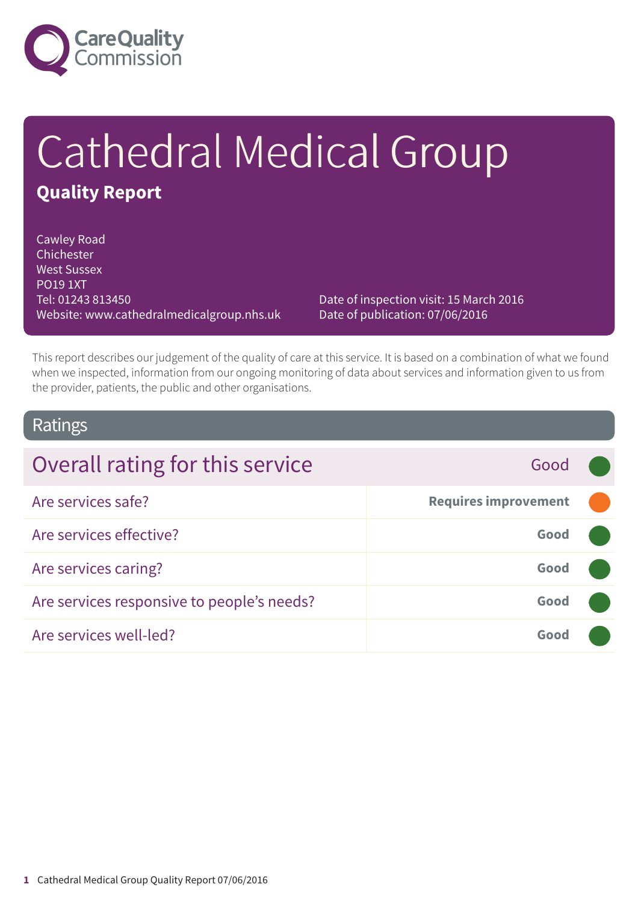

# Cathedral Medical Group **Quality Report**

Cawley Road Chichester West Sussex PO19 1XT Tel: 01243 813450 Website: www.cathedralmedicalgroup.nhs.uk

Date of inspection visit: 15 March 2016 Date of publication: 07/06/2016

This report describes our judgement of the quality of care at this service. It is based on a combination of what we found when we inspected, information from our ongoing monitoring of data about services and information given to us from the provider, patients, the public and other organisations.

### Ratings

| Overall rating for this service            | Good                        |  |
|--------------------------------------------|-----------------------------|--|
| Are services safe?                         | <b>Requires improvement</b> |  |
| Are services effective?                    | Good                        |  |
| Are services caring?                       | Good                        |  |
| Are services responsive to people's needs? | Good                        |  |
| Are services well-led?                     | Good                        |  |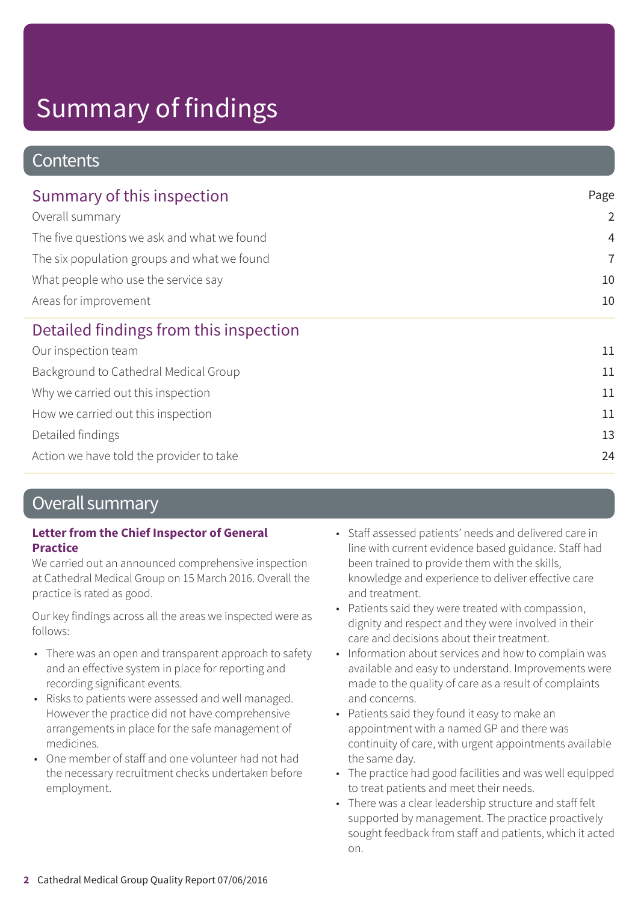### **Contents**

| Page           |
|----------------|
| $\overline{2}$ |
| $\overline{4}$ |
| $\overline{7}$ |
| 10             |
| 10             |
|                |
| 11             |
| 11             |
| 11             |
| 11             |
| 13             |
| 24             |
|                |

### Overall summary

#### **Letter from the Chief Inspector of General Practice**

We carried out an announced comprehensive inspection at Cathedral Medical Group on 15 March 2016. Overall the practice is rated as good.

Our key findings across all the areas we inspected were as follows:

- There was an open and transparent approach to safety and an effective system in place for reporting and recording significant events.
- Risks to patients were assessed and well managed. However the practice did not have comprehensive arrangements in place for the safe management of medicines.
- One member of staff and one volunteer had not had the necessary recruitment checks undertaken before employment.
- Staff assessed patients' needs and delivered care in line with current evidence based guidance. Staff had been trained to provide them with the skills, knowledge and experience to deliver effective care and treatment.
- Patients said they were treated with compassion, dignity and respect and they were involved in their care and decisions about their treatment.
- Information about services and how to complain was available and easy to understand. Improvements were made to the quality of care as a result of complaints and concerns.
- Patients said they found it easy to make an appointment with a named GP and there was continuity of care, with urgent appointments available the same day.
- The practice had good facilities and was well equipped to treat patients and meet their needs.
- There was a clear leadership structure and staff felt supported by management. The practice proactively sought feedback from staff and patients, which it acted on.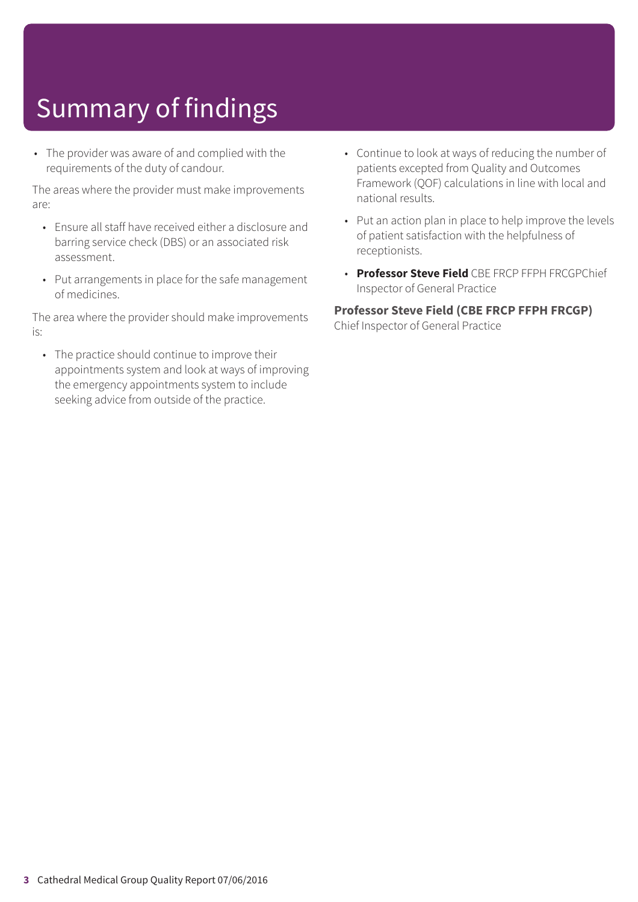• The provider was aware of and complied with the requirements of the duty of candour.

The areas where the provider must make improvements are:

- Ensure all staff have received either a disclosure and barring service check (DBS) or an associated risk assessment.
- Put arrangements in place for the safe management of medicines.

The area where the provider should make improvements is:

• The practice should continue to improve their appointments system and look at ways of improving the emergency appointments system to include seeking advice from outside of the practice.

- Continue to look at ways of reducing the number of patients excepted from Quality and Outcomes Framework (QOF) calculations in line with local and national results.
- Put an action plan in place to help improve the levels of patient satisfaction with the helpfulness of receptionists.
- **Professor Steve Field** CBE FRCP FFPH FRCGPChief Inspector of General Practice

#### **Professor Steve Field (CBE FRCP FFPH FRCGP)**

Chief Inspector of General Practice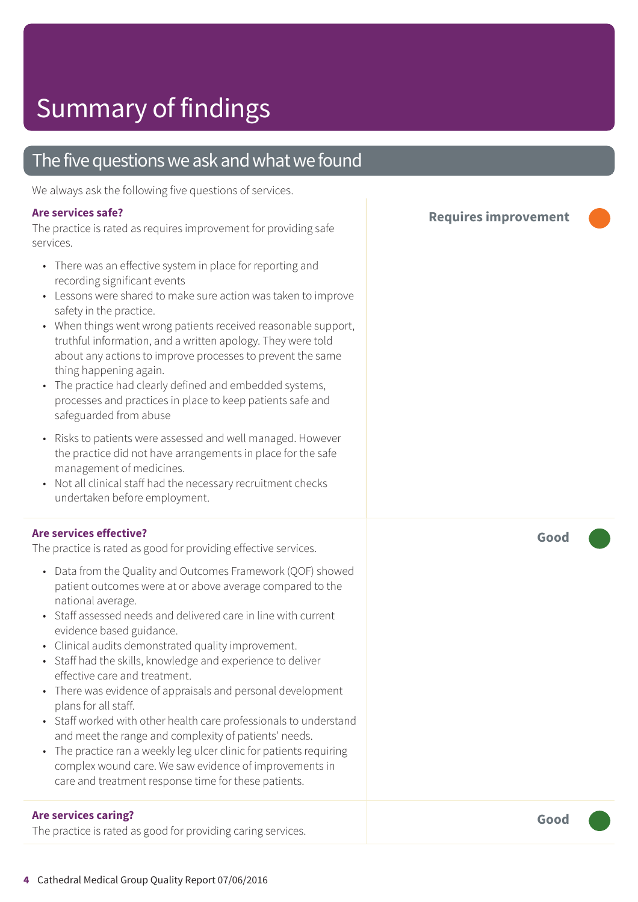### The five questions we ask and what we found

We always ask the following five questions of services.

#### **Are services safe?**

The practice is rated as requires improvement for providing safe services.

- There was an effective system in place for reporting and recording significant events
- Lessons were shared to make sure action was taken to improve safety in the practice.
- When things went wrong patients received reasonable support, truthful information, and a written apology. They were told about any actions to improve processes to prevent the same thing happening again.
- The practice had clearly defined and embedded systems, processes and practices in place to keep patients safe and safeguarded from abuse
- Risks to patients were assessed and well managed. However the practice did not have arrangements in place for the safe management of medicines.
- Not all clinical staff had the necessary recruitment checks undertaken before employment.

#### **Are services effective?**

The practice is rated as good for providing effective services.

- Data from the Quality and Outcomes Framework (QOF) showed patient outcomes were at or above average compared to the national average.
- Staff assessed needs and delivered care in line with current evidence based guidance.
- Clinical audits demonstrated quality improvement.
- Staff had the skills, knowledge and experience to deliver effective care and treatment.
- There was evidence of appraisals and personal development plans for all staff.
- Staff worked with other health care professionals to understand and meet the range and complexity of patients' needs.
- The practice ran a weekly leg ulcer clinic for patients requiring complex wound care. We saw evidence of improvements in care and treatment response time for these patients.

#### **Are services caring?**

The practice is rated as good for providing caring services.

**Requires improvement –––**

**Good –––**

**4** Cathedral Medical Group Quality Report 07/06/2016

**Good –––**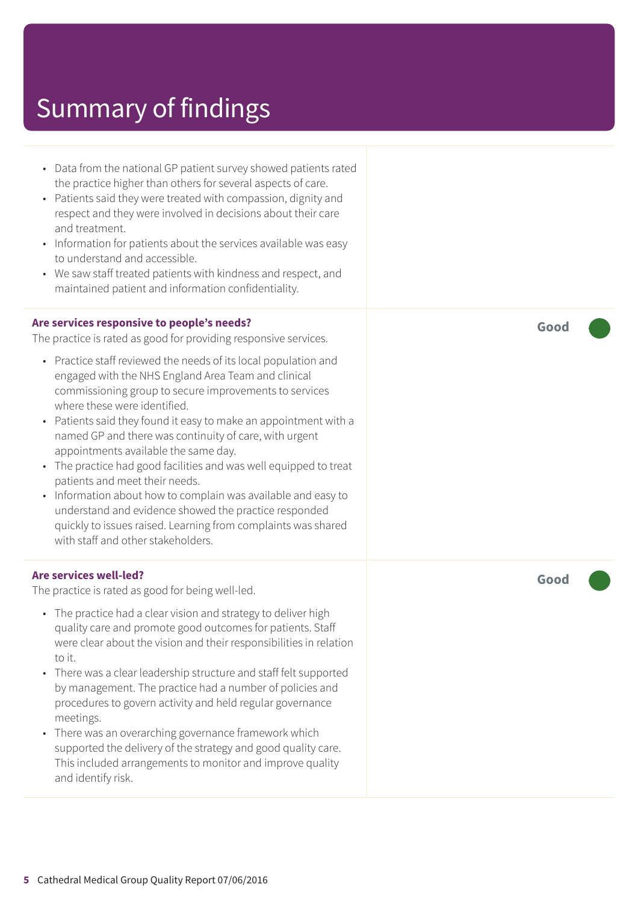- Data from the national GP patient survey showed patients rated the practice higher than others for several aspects of care.
- Patients said they were treated with compassion, dignity and respect and they were involved in decisions about their care and treatment.
- Information for patients about the services available was easy to understand and accessible.
- We saw staff treated patients with kindness and respect, and maintained patient and information confidentiality.

#### **Are services responsive to people's needs?**

The practice is rated as good for providing responsive services.

- Practice staff reviewed the needs of its local population and engaged with the NHS England Area Team and clinical commissioning group to secure improvements to services where these were identified.
- Patients said they found it easy to make an appointment with a named GP and there was continuity of care, with urgent appointments available the same day.
- The practice had good facilities and was well equipped to treat patients and meet their needs.
- Information about how to complain was available and easy to understand and evidence showed the practice responded quickly to issues raised. Learning from complaints was shared with staff and other stakeholders.

#### **Are services well-led?**

The practice is rated as good for being well-led.

- The practice had a clear vision and strategy to deliver high quality care and promote good outcomes for patients. Staff were clear about the vision and their responsibilities in relation to it.
- There was a clear leadership structure and staff felt supported by management. The practice had a number of policies and procedures to govern activity and held regular governance meetings.
- There was an overarching governance framework which supported the delivery of the strategy and good quality care. This included arrangements to monitor and improve quality and identify risk.

**Good –––**

**Good –––**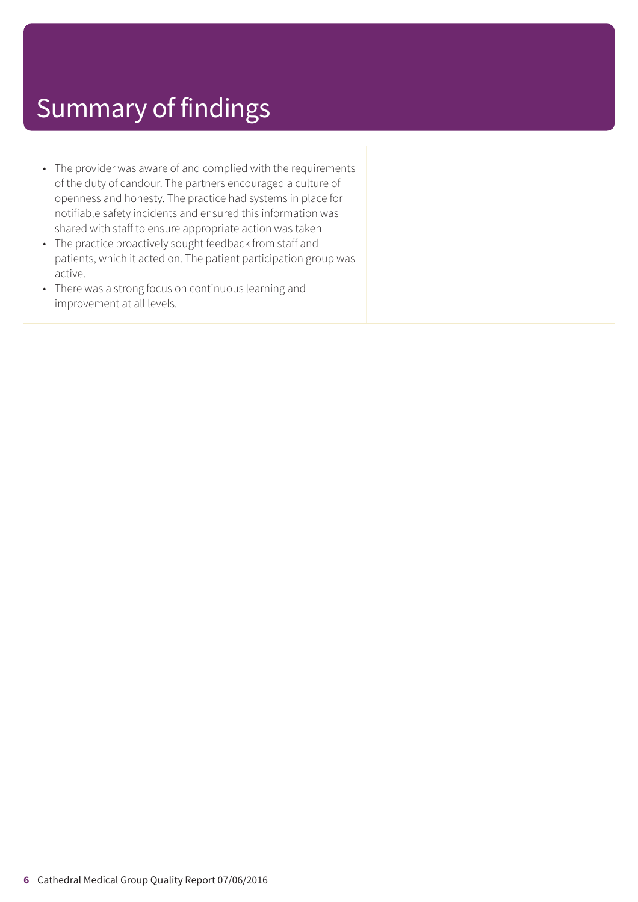- The provider was aware of and complied with the requirements of the duty of candour. The partners encouraged a culture of openness and honesty. The practice had systems in place for notifiable safety incidents and ensured this information was shared with staff to ensure appropriate action was taken
- The practice proactively sought feedback from staff and patients, which it acted on. The patient participation group was active.
- There was a strong focus on continuous learning and improvement at all levels.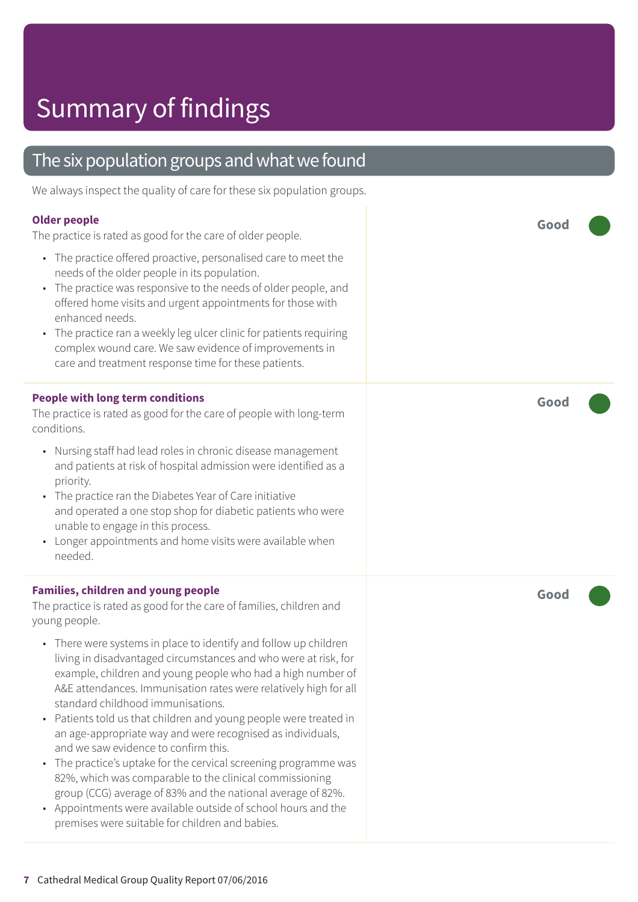### The six population groups and what we found

We always inspect the quality of care for these six population groups.

#### **Older people**

The practice is rated as good for the care of older people.

- The practice offered proactive, personalised care to meet the needs of the older people in its population.
- The practice was responsive to the needs of older people, and offered home visits and urgent appointments for those with enhanced needs.
- The practice ran a weekly leg ulcer clinic for patients requiring complex wound care. We saw evidence of improvements in care and treatment response time for these patients.

#### **People with long term conditions**

The practice is rated as good for the care of people with long-term conditions.

- Nursing staff had lead roles in chronic disease management and patients at risk of hospital admission were identified as a priority.
- The practice ran the Diabetes Year of Care initiative and operated a one stop shop for diabetic patients who were unable to engage in this process.
- Longer appointments and home visits were available when needed.

#### **Families, children and young people**

The practice is rated as good for the care of families, children and young people.

- There were systems in place to identify and follow up children living in disadvantaged circumstances and who were at risk, for example, children and young people who had a high number of A&E attendances. Immunisation rates were relatively high for all standard childhood immunisations.
- Patients told us that children and young people were treated in an age-appropriate way and were recognised as individuals, and we saw evidence to confirm this.
- The practice's uptake for the cervical screening programme was 82%, which was comparable to the clinical commissioning group (CCG) average of 83% and the national average of 82%.
- Appointments were available outside of school hours and the premises were suitable for children and babies.

**Good –––**

**Good –––**

**Good –––**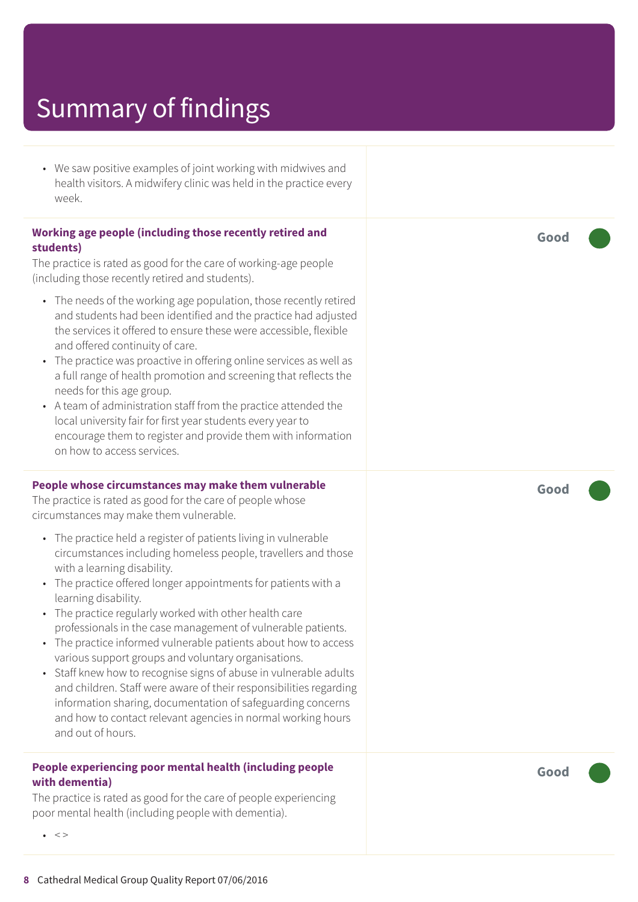• We saw positive examples of joint working with midwives and health visitors. A midwifery clinic was held in the practice every week.

#### **Working age people (including those recently retired and students)**

The practice is rated as good for the care of working-age people (including those recently retired and students).

- The needs of the working age population, those recently retired and students had been identified and the practice had adjusted the services it offered to ensure these were accessible, flexible and offered continuity of care.
- The practice was proactive in offering online services as well as a full range of health promotion and screening that reflects the needs for this age group.
- A team of administration staff from the practice attended the local university fair for first year students every year to encourage them to register and provide them with information on how to access services.

#### **People whose circumstances may make them vulnerable**

The practice is rated as good for the care of people whose circumstances may make them vulnerable.

- The practice held a register of patients living in vulnerable circumstances including homeless people, travellers and those with a learning disability.
- The practice offered longer appointments for patients with a learning disability.
- The practice regularly worked with other health care professionals in the case management of vulnerable patients.
- The practice informed vulnerable patients about how to access various support groups and voluntary organisations.
- Staff knew how to recognise signs of abuse in vulnerable adults and children. Staff were aware of their responsibilities regarding information sharing, documentation of safeguarding concerns and how to contact relevant agencies in normal working hours and out of hours.

#### **People experiencing poor mental health (including people with dementia)**

The practice is rated as good for the care of people experiencing poor mental health (including people with dementia).

**Good –––**

**Good –––**

**Good –––**

 $\bullet \quad \lt>$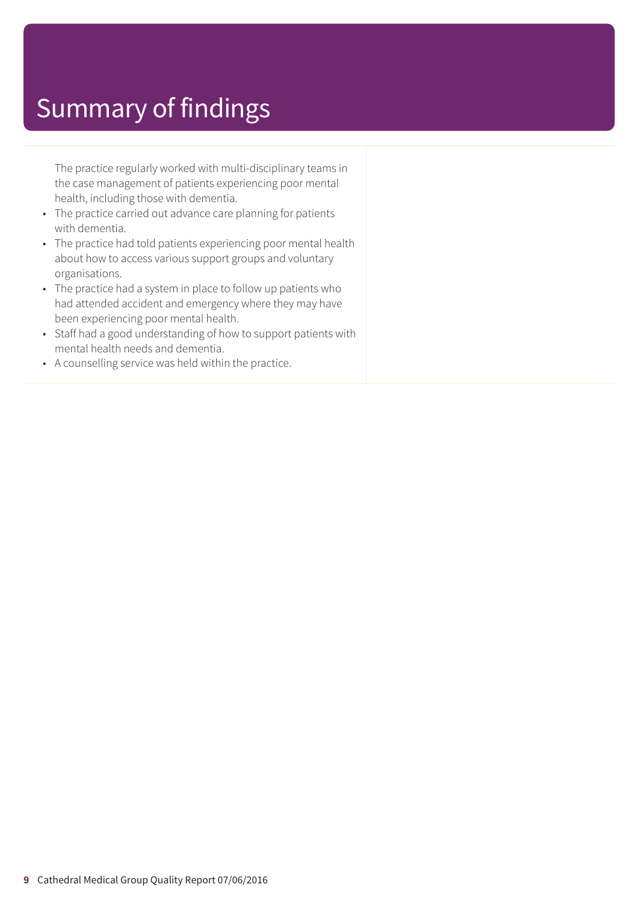The practice regularly worked with multi-disciplinary teams in the case management of patients experiencing poor mental health, including those with dementia.

- The practice carried out advance care planning for patients with dementia.
- The practice had told patients experiencing poor mental health about how to access various support groups and voluntary organisations.
- The practice had a system in place to follow up patients who had attended accident and emergency where they may have been experiencing poor mental health.
- Staff had a good understanding of how to support patients with mental health needs and dementia.
- A counselling service was held within the practice.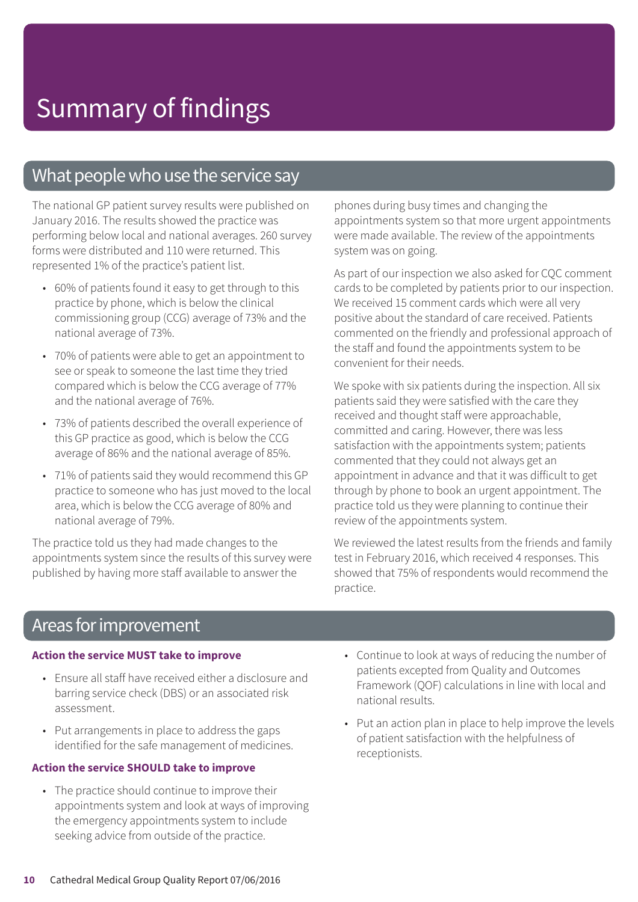### What people who use the service say

The national GP patient survey results were published on January 2016. The results showed the practice was performing below local and national averages. 260 survey forms were distributed and 110 were returned. This represented 1% of the practice's patient list.

- 60% of patients found it easy to get through to this practice by phone, which is below the clinical commissioning group (CCG) average of 73% and the national average of 73%.
- 70% of patients were able to get an appointment to see or speak to someone the last time they tried compared which is below the CCG average of 77% and the national average of 76%.
- 73% of patients described the overall experience of this GP practice as good, which is below the CCG average of 86% and the national average of 85%.
- 71% of patients said they would recommend this GP practice to someone who has just moved to the local area, which is below the CCG average of 80% and national average of 79%.

The practice told us they had made changes to the appointments system since the results of this survey were published by having more staff available to answer the

phones during busy times and changing the appointments system so that more urgent appointments were made available. The review of the appointments system was on going.

As part of our inspection we also asked for CQC comment cards to be completed by patients prior to our inspection. We received 15 comment cards which were all very positive about the standard of care received. Patients commented on the friendly and professional approach of the staff and found the appointments system to be convenient for their needs.

We spoke with six patients during the inspection. All six patients said they were satisfied with the care they received and thought staff were approachable, committed and caring. However, there was less satisfaction with the appointments system; patients commented that they could not always get an appointment in advance and that it was difficult to get through by phone to book an urgent appointment. The practice told us they were planning to continue their review of the appointments system.

We reviewed the latest results from the friends and family test in February 2016, which received 4 responses. This showed that 75% of respondents would recommend the practice.

### Areas for improvement

#### **Action the service MUST take to improve**

- Ensure all staff have received either a disclosure and barring service check (DBS) or an associated risk assessment.
- Put arrangements in place to address the gaps identified for the safe management of medicines.

#### **Action the service SHOULD take to improve**

- The practice should continue to improve their appointments system and look at ways of improving the emergency appointments system to include seeking advice from outside of the practice.
- Continue to look at ways of reducing the number of patients excepted from Quality and Outcomes Framework (QOF) calculations in line with local and national results.
- Put an action plan in place to help improve the levels of patient satisfaction with the helpfulness of receptionists.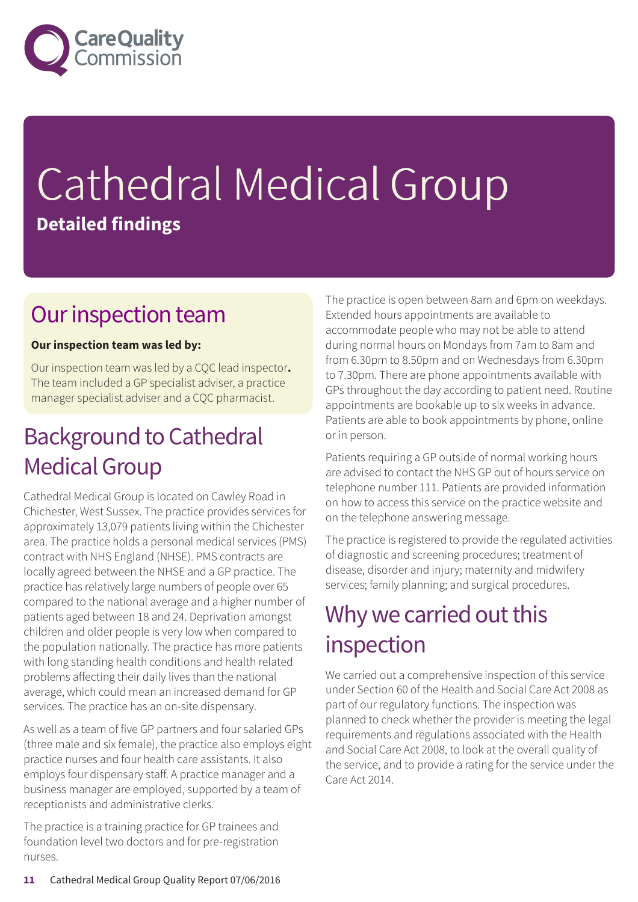

# Cathedral Medical Group **Detailed findings**

### Our inspection team

#### **Our inspection team was led by:**

Our inspection team was led by a CQC lead inspector**.** The team included a GP specialist adviser, a practice manager specialist adviser and a CQC pharmacist.

## **Background to Cathedral Medical Group**

Cathedral Medical Group is located on Cawley Road in Chichester, West Sussex. The practice provides services for approximately 13,079 patients living within the Chichester area. The practice holds a personal medical services (PMS) contract with NHS England (NHSE). PMS contracts are locally agreed between the NHSE and a GP practice. The practice has relatively large numbers of people over 65 compared to the national average and a higher number of patients aged between 18 and 24. Deprivation amongst children and older people is very low when compared to the population nationally. The practice has more patients with long standing health conditions and health related problems affecting their daily lives than the national average, which could mean an increased demand for GP services. The practice has an on-site dispensary.

As well as a team of five GP partners and four salaried GPs (three male and six female), the practice also employs eight practice nurses and four health care assistants. It also employs four dispensary staff. A practice manager and a business manager are employed, supported by a team of receptionists and administrative clerks.

The practice is a training practice for GP trainees and foundation level two doctors and for pre-registration nurses.

The practice is open between 8am and 6pm on weekdays. Extended hours appointments are available to accommodate people who may not be able to attend during normal hours on Mondays from 7am to 8am and from 6.30pm to 8.50pm and on Wednesdays from 6.30pm to 7.30pm. There are phone appointments available with GPs throughout the day according to patient need. Routine appointments are bookable up to six weeks in advance. Patients are able to book appointments by phone, online or in person.

Patients requiring a GP outside of normal working hours are advised to contact the NHS GP out of hours service on telephone number 111. Patients are provided information on how to access this service on the practice website and on the telephone answering message.

The practice is registered to provide the regulated activities of diagnostic and screening procedures; treatment of disease, disorder and injury; maternity and midwifery services; family planning; and surgical procedures.

## Why we carried out this inspection

We carried out a comprehensive inspection of this service under Section 60 of the Health and Social Care Act 2008 as part of our regulatory functions. The inspection was planned to check whether the provider is meeting the legal requirements and regulations associated with the Health and Social Care Act 2008, to look at the overall quality of the service, and to provide a rating for the service under the Care Act 2014.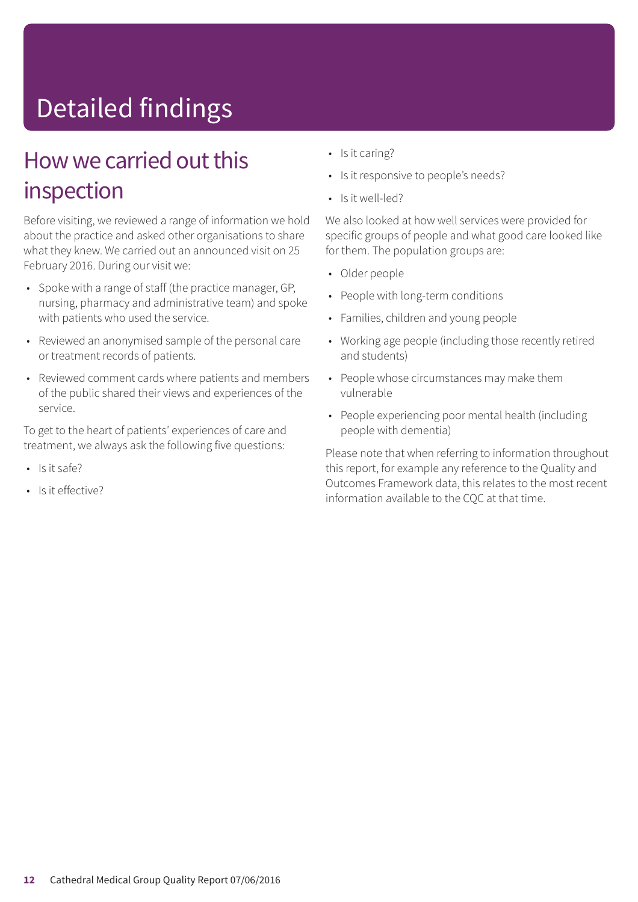# Detailed findings

### How we carried out this inspection

Before visiting, we reviewed a range of information we hold about the practice and asked other organisations to share what they knew. We carried out an announced visit on 25 February 2016. During our visit we:

- Spoke with a range of staff (the practice manager, GP, nursing, pharmacy and administrative team) and spoke with patients who used the service.
- Reviewed an anonymised sample of the personal care or treatment records of patients.
- Reviewed comment cards where patients and members of the public shared their views and experiences of the service.

To get to the heart of patients' experiences of care and treatment, we always ask the following five questions:

- Is it safe?
- Is it effective?
- Is it caring?
- Is it responsive to people's needs?
- Is it well-led?

We also looked at how well services were provided for specific groups of people and what good care looked like for them. The population groups are:

- Older people
- People with long-term conditions
- Families, children and young people
- Working age people (including those recently retired and students)
- People whose circumstances may make them vulnerable
- People experiencing poor mental health (including people with dementia)

Please note that when referring to information throughout this report, for example any reference to the Quality and Outcomes Framework data, this relates to the most recent information available to the CQC at that time.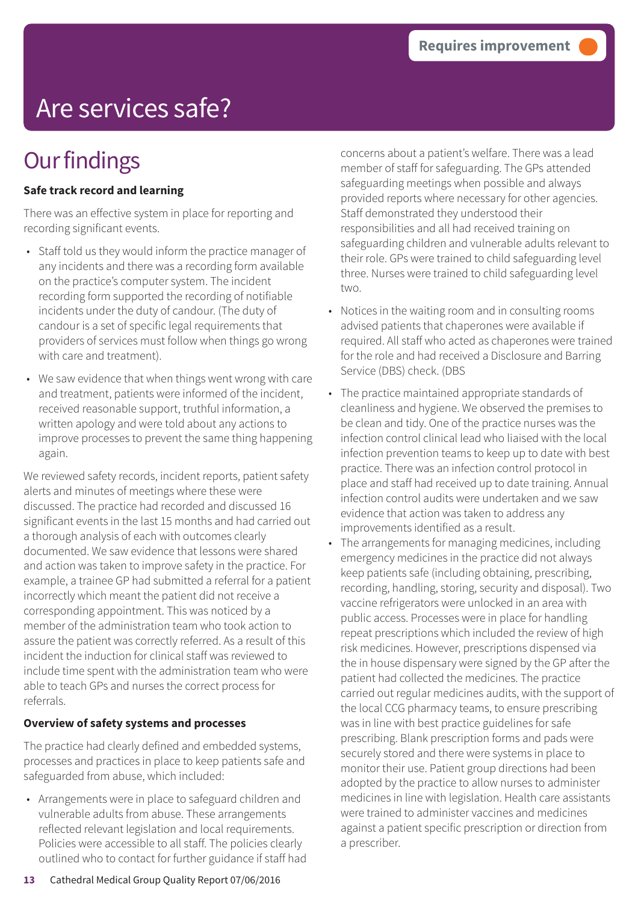# Are services safe?

## **Our findings**

#### **Safe track record and learning**

There was an effective system in place for reporting and recording significant events.

- Staff told us they would inform the practice manager of any incidents and there was a recording form available on the practice's computer system. The incident recording form supported the recording of notifiable incidents under the duty of candour. (The duty of candour is a set of specific legal requirements that providers of services must follow when things go wrong with care and treatment).
- We saw evidence that when things went wrong with care and treatment, patients were informed of the incident, received reasonable support, truthful information, a written apology and were told about any actions to improve processes to prevent the same thing happening again.

We reviewed safety records, incident reports, patient safety alerts and minutes of meetings where these were discussed. The practice had recorded and discussed 16 significant events in the last 15 months and had carried out a thorough analysis of each with outcomes clearly documented. We saw evidence that lessons were shared and action was taken to improve safety in the practice. For example, a trainee GP had submitted a referral for a patient incorrectly which meant the patient did not receive a corresponding appointment. This was noticed by a member of the administration team who took action to assure the patient was correctly referred. As a result of this incident the induction for clinical staff was reviewed to include time spent with the administration team who were able to teach GPs and nurses the correct process for referrals.

#### **Overview of safety systems and processes**

The practice had clearly defined and embedded systems, processes and practices in place to keep patients safe and safeguarded from abuse, which included:

• Arrangements were in place to safeguard children and vulnerable adults from abuse. These arrangements reflected relevant legislation and local requirements. Policies were accessible to all staff. The policies clearly outlined who to contact for further guidance if staff had concerns about a patient's welfare. There was a lead member of staff for safeguarding. The GPs attended safeguarding meetings when possible and always provided reports where necessary for other agencies. Staff demonstrated they understood their responsibilities and all had received training on safeguarding children and vulnerable adults relevant to their role. GPs were trained to child safeguarding level three. Nurses were trained to child safeguarding level two.

- Notices in the waiting room and in consulting rooms advised patients that chaperones were available if required. All staff who acted as chaperones were trained for the role and had received a Disclosure and Barring Service (DBS) check. (DBS
- The practice maintained appropriate standards of cleanliness and hygiene. We observed the premises to be clean and tidy. One of the practice nurses was the infection control clinical lead who liaised with the local infection prevention teams to keep up to date with best practice. There was an infection control protocol in place and staff had received up to date training. Annual infection control audits were undertaken and we saw evidence that action was taken to address any improvements identified as a result.
- The arrangements for managing medicines, including emergency medicines in the practice did not always keep patients safe (including obtaining, prescribing, recording, handling, storing, security and disposal). Two vaccine refrigerators were unlocked in an area with public access. Processes were in place for handling repeat prescriptions which included the review of high risk medicines. However, prescriptions dispensed via the in house dispensary were signed by the GP after the patient had collected the medicines. The practice carried out regular medicines audits, with the support of the local CCG pharmacy teams, to ensure prescribing was in line with best practice guidelines for safe prescribing. Blank prescription forms and pads were securely stored and there were systems in place to monitor their use. Patient group directions had been adopted by the practice to allow nurses to administer medicines in line with legislation. Health care assistants were trained to administer vaccines and medicines against a patient specific prescription or direction from a prescriber.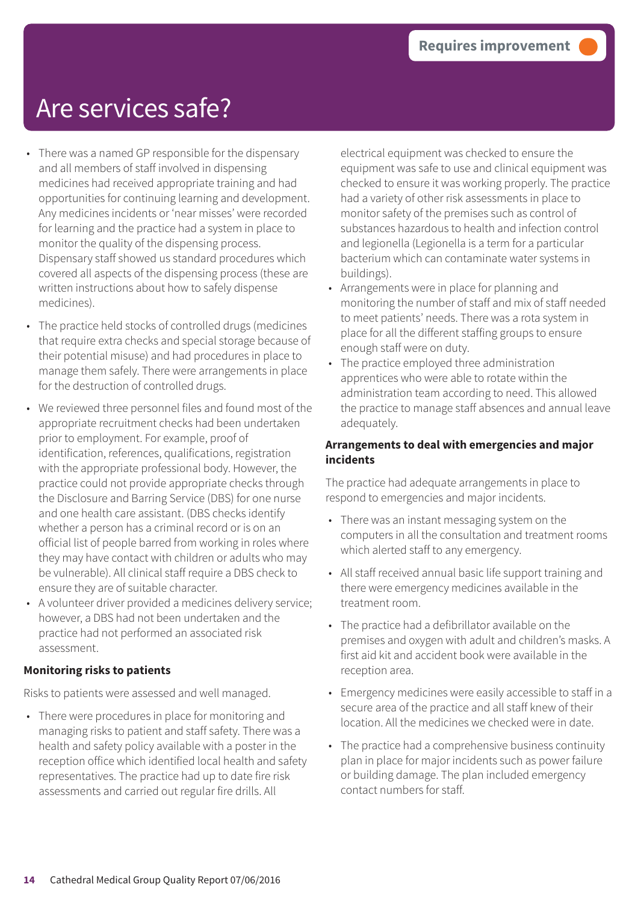## Are services safe?

- There was a named GP responsible for the dispensary and all members of staff involved in dispensing medicines had received appropriate training and had opportunities for continuing learning and development. Any medicines incidents or 'near misses' were recorded for learning and the practice had a system in place to monitor the quality of the dispensing process. Dispensary staff showed us standard procedures which covered all aspects of the dispensing process (these are written instructions about how to safely dispense medicines).
- The practice held stocks of controlled drugs (medicines that require extra checks and special storage because of their potential misuse) and had procedures in place to manage them safely. There were arrangements in place for the destruction of controlled drugs.
- We reviewed three personnel files and found most of the appropriate recruitment checks had been undertaken prior to employment. For example, proof of identification, references, qualifications, registration with the appropriate professional body. However, the practice could not provide appropriate checks through the Disclosure and Barring Service (DBS) for one nurse and one health care assistant. (DBS checks identify whether a person has a criminal record or is on an official list of people barred from working in roles where they may have contact with children or adults who may be vulnerable). All clinical staff require a DBS check to ensure they are of suitable character.
- A volunteer driver provided a medicines delivery service; however, a DBS had not been undertaken and the practice had not performed an associated risk assessment.

#### **Monitoring risks to patients**

Risks to patients were assessed and well managed.

• There were procedures in place for monitoring and managing risks to patient and staff safety. There was a health and safety policy available with a poster in the reception office which identified local health and safety representatives. The practice had up to date fire risk assessments and carried out regular fire drills. All

electrical equipment was checked to ensure the equipment was safe to use and clinical equipment was checked to ensure it was working properly. The practice had a variety of other risk assessments in place to monitor safety of the premises such as control of substances hazardous to health and infection control and legionella (Legionella is a term for a particular bacterium which can contaminate water systems in buildings).

- Arrangements were in place for planning and monitoring the number of staff and mix of staff needed to meet patients' needs. There was a rota system in place for all the different staffing groups to ensure enough staff were on duty.
- The practice employed three administration apprentices who were able to rotate within the administration team according to need. This allowed the practice to manage staff absences and annual leave adequately.

#### **Arrangements to deal with emergencies and major incidents**

The practice had adequate arrangements in place to respond to emergencies and major incidents.

- There was an instant messaging system on the computers in all the consultation and treatment rooms which alerted staff to any emergency.
- All staff received annual basic life support training and there were emergency medicines available in the treatment room.
- The practice had a defibrillator available on the premises and oxygen with adult and children's masks. A first aid kit and accident book were available in the reception area.
- Emergency medicines were easily accessible to staff in a secure area of the practice and all staff knew of their location. All the medicines we checked were in date.
- The practice had a comprehensive business continuity plan in place for major incidents such as power failure or building damage. The plan included emergency contact numbers for staff.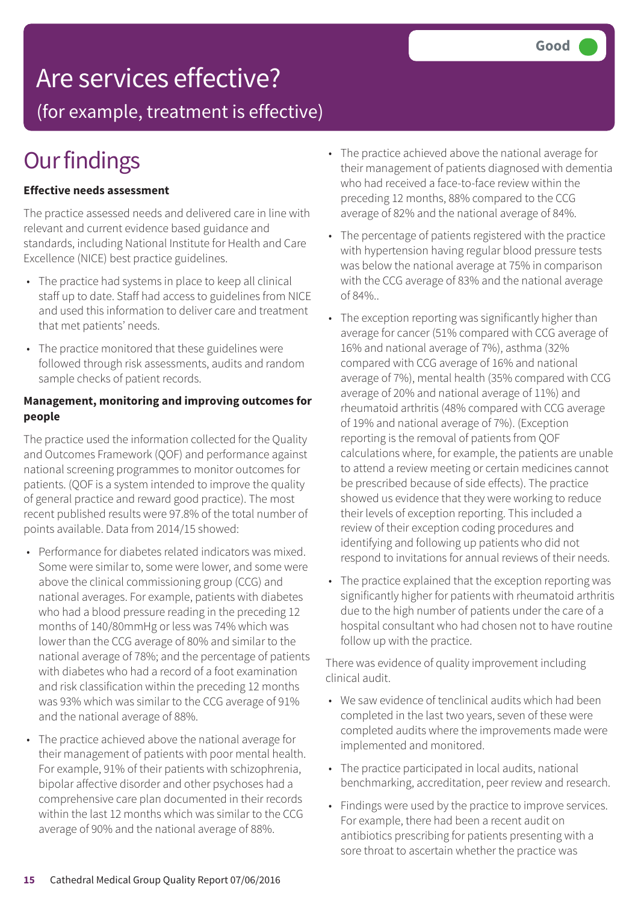## Are services effective?

(for example, treatment is effective)

# **Our findings**

#### **Effective needs assessment**

The practice assessed needs and delivered care in line with relevant and current evidence based guidance and standards, including National Institute for Health and Care Excellence (NICE) best practice guidelines.

- The practice had systems in place to keep all clinical staff up to date. Staff had access to guidelines from NICE and used this information to deliver care and treatment that met patients' needs.
- The practice monitored that these guidelines were followed through risk assessments, audits and random sample checks of patient records.

#### **Management, monitoring and improving outcomes for people**

The practice used the information collected for the Quality and Outcomes Framework (QOF) and performance against national screening programmes to monitor outcomes for patients. (QOF is a system intended to improve the quality of general practice and reward good practice). The most recent published results were 97.8% of the total number of points available. Data from 2014/15 showed:

- Performance for diabetes related indicators was mixed. Some were similar to, some were lower, and some were above the clinical commissioning group (CCG) and national averages. For example, patients with diabetes who had a blood pressure reading in the preceding 12 months of 140/80mmHg or less was 74% which was lower than the CCG average of 80% and similar to the national average of 78%; and the percentage of patients with diabetes who had a record of a foot examination and risk classification within the preceding 12 months was 93% which was similar to the CCG average of 91% and the national average of 88%.
- The practice achieved above the national average for their management of patients with poor mental health. For example, 91% of their patients with schizophrenia, bipolar affective disorder and other psychoses had a comprehensive care plan documented in their records within the last 12 months which was similar to the CCG average of 90% and the national average of 88%.
- The practice achieved above the national average for their management of patients diagnosed with dementia who had received a face-to-face review within the preceding 12 months, 88% compared to the CCG average of 82% and the national average of 84%.
- The percentage of patients registered with the practice with hypertension having regular blood pressure tests was below the national average at 75% in comparison with the CCG average of 83% and the national average of 84%..
- The exception reporting was significantly higher than average for cancer (51% compared with CCG average of 16% and national average of 7%), asthma (32% compared with CCG average of 16% and national average of 7%), mental health (35% compared with CCG average of 20% and national average of 11%) and rheumatoid arthritis (48% compared with CCG average of 19% and national average of 7%). (Exception reporting is the removal of patients from QOF calculations where, for example, the patients are unable to attend a review meeting or certain medicines cannot be prescribed because of side effects). The practice showed us evidence that they were working to reduce their levels of exception reporting. This included a review of their exception coding procedures and identifying and following up patients who did not respond to invitations for annual reviews of their needs.
- The practice explained that the exception reporting was significantly higher for patients with rheumatoid arthritis due to the high number of patients under the care of a hospital consultant who had chosen not to have routine follow up with the practice.

There was evidence of quality improvement including clinical audit.

- We saw evidence of tenclinical audits which had been completed in the last two years, seven of these were completed audits where the improvements made were implemented and monitored.
- The practice participated in local audits, national benchmarking, accreditation, peer review and research.
- Findings were used by the practice to improve services. For example, there had been a recent audit on antibiotics prescribing for patients presenting with a sore throat to ascertain whether the practice was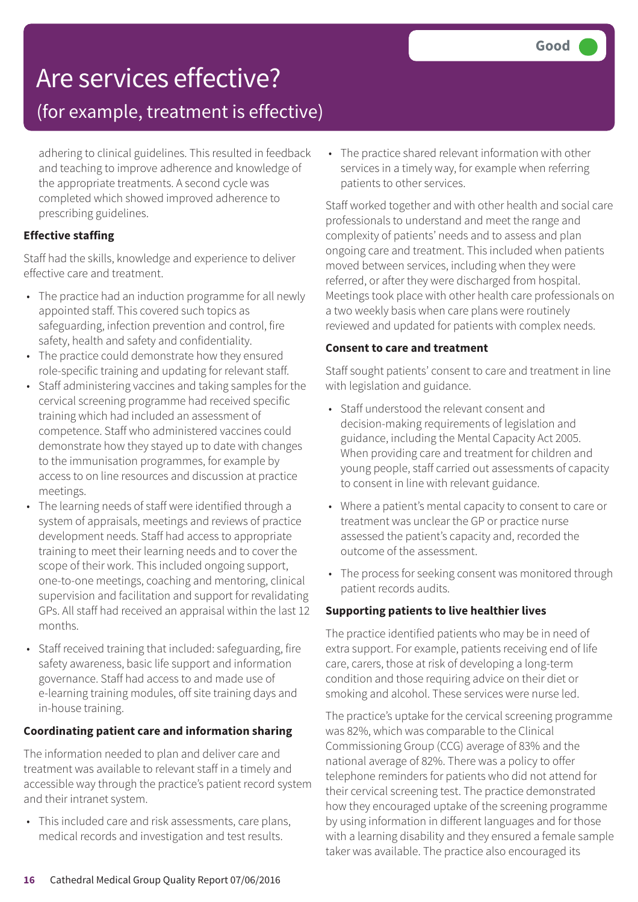# Are services effective?

### (for example, treatment is effective)

adhering to clinical guidelines. This resulted in feedback and teaching to improve adherence and knowledge of the appropriate treatments. A second cycle was completed which showed improved adherence to prescribing guidelines.

#### **Effective staffing**

Staff had the skills, knowledge and experience to deliver effective care and treatment.

- The practice had an induction programme for all newly appointed staff. This covered such topics as safeguarding, infection prevention and control, fire safety, health and safety and confidentiality.
- The practice could demonstrate how they ensured role-specific training and updating for relevant staff.
- Staff administering vaccines and taking samples for the cervical screening programme had received specific training which had included an assessment of competence. Staff who administered vaccines could demonstrate how they stayed up to date with changes to the immunisation programmes, for example by access to on line resources and discussion at practice meetings.
- The learning needs of staff were identified through a system of appraisals, meetings and reviews of practice development needs. Staff had access to appropriate training to meet their learning needs and to cover the scope of their work. This included ongoing support, one-to-one meetings, coaching and mentoring, clinical supervision and facilitation and support for revalidating GPs. All staff had received an appraisal within the last 12 months.
- Staff received training that included: safeguarding, fire safety awareness, basic life support and information governance. Staff had access to and made use of e-learning training modules, off site training days and in-house training.

#### **Coordinating patient care and information sharing**

The information needed to plan and deliver care and treatment was available to relevant staff in a timely and accessible way through the practice's patient record system and their intranet system.

• This included care and risk assessments, care plans, medical records and investigation and test results.

• The practice shared relevant information with other services in a timely way, for example when referring patients to other services.

Staff worked together and with other health and social care professionals to understand and meet the range and complexity of patients' needs and to assess and plan ongoing care and treatment. This included when patients moved between services, including when they were referred, or after they were discharged from hospital. Meetings took place with other health care professionals on a two weekly basis when care plans were routinely reviewed and updated for patients with complex needs.

#### **Consent to care and treatment**

Staff sought patients' consent to care and treatment in line with legislation and guidance.

- Staff understood the relevant consent and decision-making requirements of legislation and guidance, including the Mental Capacity Act 2005. When providing care and treatment for children and young people, staff carried out assessments of capacity to consent in line with relevant guidance.
- Where a patient's mental capacity to consent to care or treatment was unclear the GP or practice nurse assessed the patient's capacity and, recorded the outcome of the assessment.
- The process for seeking consent was monitored through patient records audits.

#### **Supporting patients to live healthier lives**

The practice identified patients who may be in need of extra support. For example, patients receiving end of life care, carers, those at risk of developing a long-term condition and those requiring advice on their diet or smoking and alcohol. These services were nurse led.

The practice's uptake for the cervical screening programme was 82%, which was comparable to the Clinical Commissioning Group (CCG) average of 83% and the national average of 82%. There was a policy to offer telephone reminders for patients who did not attend for their cervical screening test. The practice demonstrated how they encouraged uptake of the screening programme by using information in different languages and for those with a learning disability and they ensured a female sample taker was available. The practice also encouraged its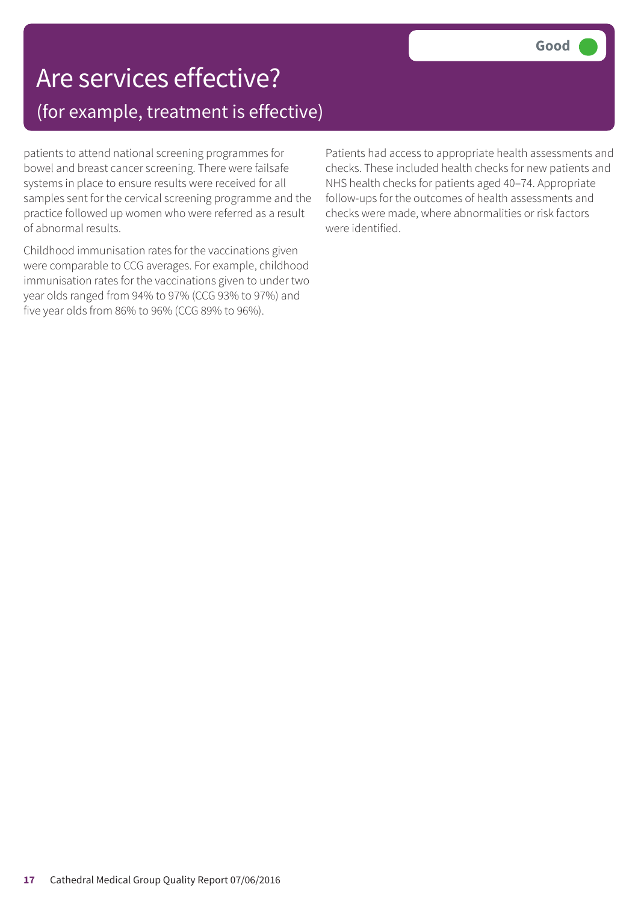## Are services effective? (for example, treatment is effective)

patients to attend national screening programmes for bowel and breast cancer screening. There were failsafe systems in place to ensure results were received for all samples sent for the cervical screening programme and the practice followed up women who were referred as a result of abnormal results.

Childhood immunisation rates for the vaccinations given were comparable to CCG averages. For example, childhood immunisation rates for the vaccinations given to under two year olds ranged from 94% to 97% (CCG 93% to 97%) and five year olds from 86% to 96% (CCG 89% to 96%).

Patients had access to appropriate health assessments and checks. These included health checks for new patients and NHS health checks for patients aged 40–74. Appropriate follow-ups for the outcomes of health assessments and checks were made, where abnormalities or risk factors were identified.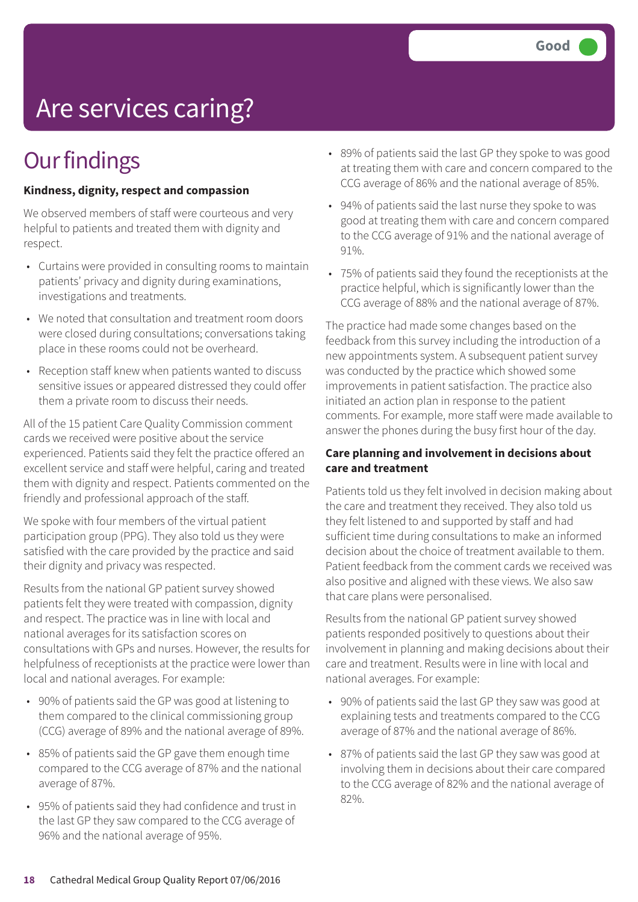# Are services caring?

# **Our findings**

#### **Kindness, dignity, respect and compassion**

We observed members of staff were courteous and very helpful to patients and treated them with dignity and respect.

- Curtains were provided in consulting rooms to maintain patients' privacy and dignity during examinations, investigations and treatments.
- We noted that consultation and treatment room doors were closed during consultations; conversations taking place in these rooms could not be overheard.
- Reception staff knew when patients wanted to discuss sensitive issues or appeared distressed they could offer them a private room to discuss their needs.

All of the 15 patient Care Quality Commission comment cards we received were positive about the service experienced. Patients said they felt the practice offered an excellent service and staff were helpful, caring and treated them with dignity and respect. Patients commented on the friendly and professional approach of the staff.

We spoke with four members of the virtual patient participation group (PPG). They also told us they were satisfied with the care provided by the practice and said their dignity and privacy was respected.

Results from the national GP patient survey showed patients felt they were treated with compassion, dignity and respect. The practice was in line with local and national averages for its satisfaction scores on consultations with GPs and nurses. However, the results for helpfulness of receptionists at the practice were lower than local and national averages. For example:

- 90% of patients said the GP was good at listening to them compared to the clinical commissioning group (CCG) average of 89% and the national average of 89%.
- 85% of patients said the GP gave them enough time compared to the CCG average of 87% and the national average of 87%.
- 95% of patients said they had confidence and trust in the last GP they saw compared to the CCG average of 96% and the national average of 95%.
- 89% of patients said the last GP they spoke to was good at treating them with care and concern compared to the CCG average of 86% and the national average of 85%.
- 94% of patients said the last nurse they spoke to was good at treating them with care and concern compared to the CCG average of 91% and the national average of 91%.
- 75% of patients said they found the receptionists at the practice helpful, which is significantly lower than the CCG average of 88% and the national average of 87%.

The practice had made some changes based on the feedback from this survey including the introduction of a new appointments system. A subsequent patient survey was conducted by the practice which showed some improvements in patient satisfaction. The practice also initiated an action plan in response to the patient comments. For example, more staff were made available to answer the phones during the busy first hour of the day.

#### **Care planning and involvement in decisions about care and treatment**

Patients told us they felt involved in decision making about the care and treatment they received. They also told us they felt listened to and supported by staff and had sufficient time during consultations to make an informed decision about the choice of treatment available to them. Patient feedback from the comment cards we received was also positive and aligned with these views. We also saw that care plans were personalised.

Results from the national GP patient survey showed patients responded positively to questions about their involvement in planning and making decisions about their care and treatment. Results were in line with local and national averages. For example:

- 90% of patients said the last GP they saw was good at explaining tests and treatments compared to the CCG average of 87% and the national average of 86%.
- 87% of patients said the last GP they saw was good at involving them in decisions about their care compared to the CCG average of 82% and the national average of 82%.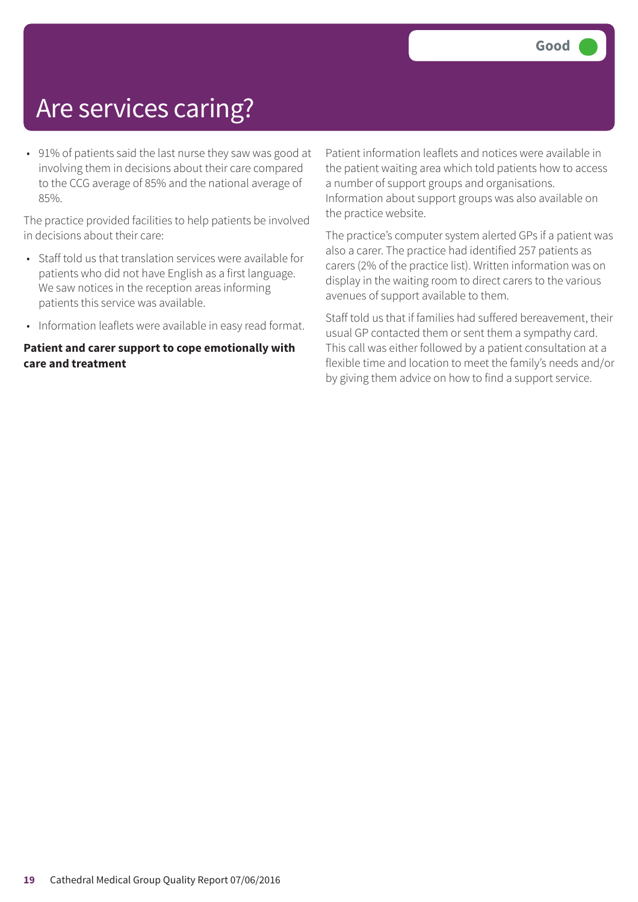# Are services caring?

• 91% of patients said the last nurse they saw was good at involving them in decisions about their care compared to the CCG average of 85% and the national average of 85%.

The practice provided facilities to help patients be involved in decisions about their care:

- Staff told us that translation services were available for patients who did not have English as a first language. We saw notices in the reception areas informing patients this service was available.
- Information leaflets were available in easy read format.

#### **Patient and carer support to cope emotionally with care and treatment**

Patient information leaflets and notices were available in the patient waiting area which told patients how to access a number of support groups and organisations. Information about support groups was also available on the practice website.

The practice's computer system alerted GPs if a patient was also a carer. The practice had identified 257 patients as carers (2% of the practice list). Written information was on display in the waiting room to direct carers to the various avenues of support available to them.

Staff told us that if families had suffered bereavement, their usual GP contacted them or sent them a sympathy card. This call was either followed by a patient consultation at a flexible time and location to meet the family's needs and/or by giving them advice on how to find a support service.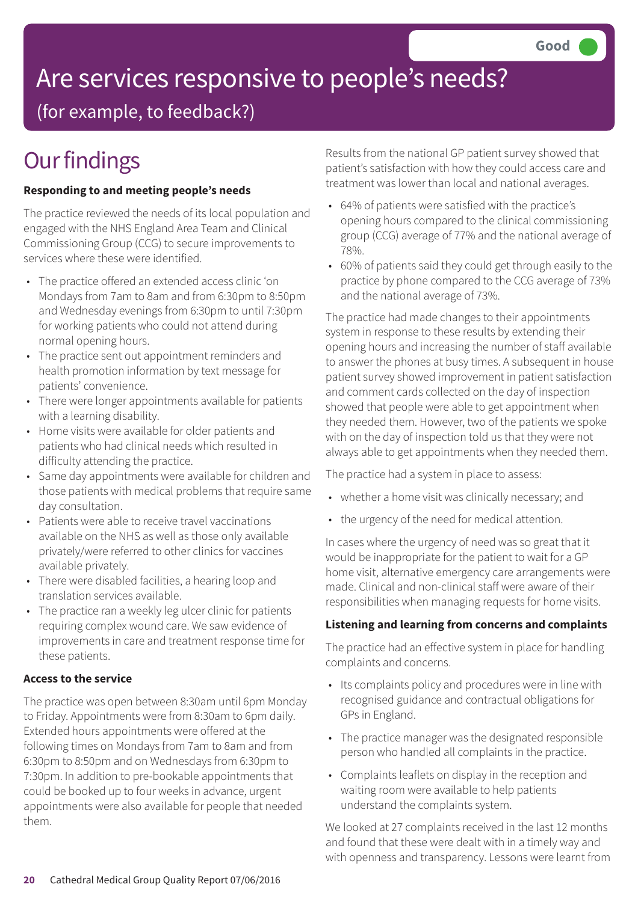# Are services responsive to people's needs?

(for example, to feedback?)

# **Our findings**

#### **Responding to and meeting people's needs**

The practice reviewed the needs of its local population and engaged with the NHS England Area Team and Clinical Commissioning Group (CCG) to secure improvements to services where these were identified.

- The practice offered an extended access clinic 'on Mondays from 7am to 8am and from 6:30pm to 8:50pm and Wednesday evenings from 6:30pm to until 7:30pm for working patients who could not attend during normal opening hours.
- The practice sent out appointment reminders and health promotion information by text message for patients' convenience.
- There were longer appointments available for patients with a learning disability.
- Home visits were available for older patients and patients who had clinical needs which resulted in difficulty attending the practice.
- Same day appointments were available for children and those patients with medical problems that require same day consultation.
- Patients were able to receive travel vaccinations available on the NHS as well as those only available privately/were referred to other clinics for vaccines available privately.
- There were disabled facilities, a hearing loop and translation services available.
- The practice ran a weekly leg ulcer clinic for patients requiring complex wound care. We saw evidence of improvements in care and treatment response time for these patients.

#### **Access to the service**

The practice was open between 8:30am until 6pm Monday to Friday. Appointments were from 8:30am to 6pm daily. Extended hours appointments were offered at the following times on Mondays from 7am to 8am and from 6:30pm to 8:50pm and on Wednesdays from 6:30pm to 7:30pm. In addition to pre-bookable appointments that could be booked up to four weeks in advance, urgent appointments were also available for people that needed them.

Results from the national GP patient survey showed that patient's satisfaction with how they could access care and treatment was lower than local and national averages.

- 64% of patients were satisfied with the practice's opening hours compared to the clinical commissioning group (CCG) average of 77% and the national average of 78%.
- 60% of patients said they could get through easily to the practice by phone compared to the CCG average of 73% and the national average of 73%.

The practice had made changes to their appointments system in response to these results by extending their opening hours and increasing the number of staff available to answer the phones at busy times. A subsequent in house patient survey showed improvement in patient satisfaction and comment cards collected on the day of inspection showed that people were able to get appointment when they needed them. However, two of the patients we spoke with on the day of inspection told us that they were not always able to get appointments when they needed them.

The practice had a system in place to assess:

- whether a home visit was clinically necessary; and
- the urgency of the need for medical attention.

In cases where the urgency of need was so great that it would be inappropriate for the patient to wait for a GP home visit, alternative emergency care arrangements were made. Clinical and non-clinical staff were aware of their responsibilities when managing requests for home visits.

#### **Listening and learning from concerns and complaints**

The practice had an effective system in place for handling complaints and concerns.

- Its complaints policy and procedures were in line with recognised guidance and contractual obligations for GPs in England.
- The practice manager was the designated responsible person who handled all complaints in the practice.
- Complaints leaflets on display in the reception and waiting room were available to help patients understand the complaints system.

We looked at 27 complaints received in the last 12 months and found that these were dealt with in a timely way and with openness and transparency. Lessons were learnt from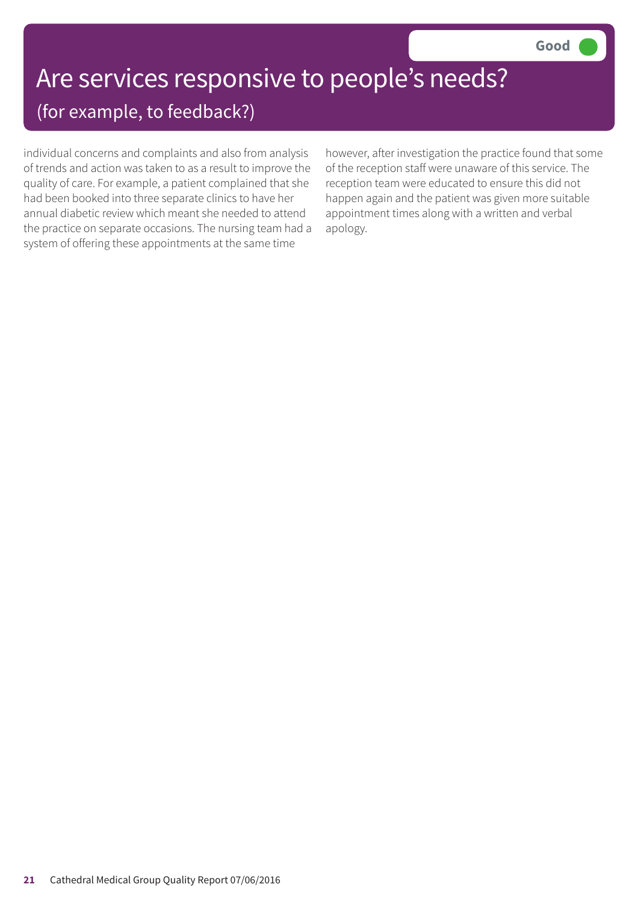## Are services responsive to people's needs? (for example, to feedback?)

individual concerns and complaints and also from analysis of trends and action was taken to as a result to improve the quality of care. For example, a patient complained that she had been booked into three separate clinics to have her annual diabetic review which meant she needed to attend the practice on separate occasions. The nursing team had a system of offering these appointments at the same time

however, after investigation the practice found that some of the reception staff were unaware of this service. The reception team were educated to ensure this did not happen again and the patient was given more suitable appointment times along with a written and verbal apology.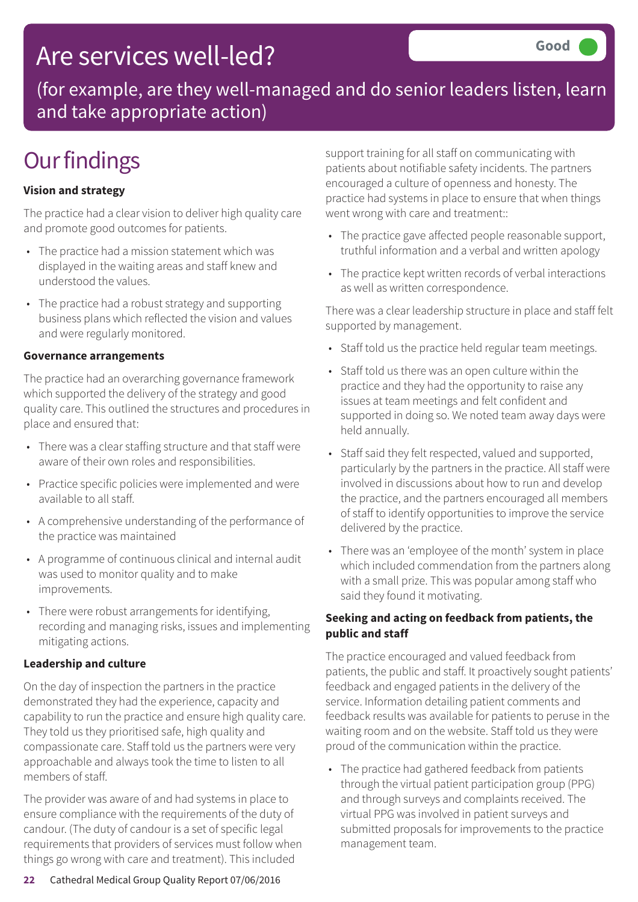## Are services well-led?

(for example, are they well-managed and do senior leaders listen, learn and take appropriate action)

# **Our findings**

#### **Vision and strategy**

The practice had a clear vision to deliver high quality care and promote good outcomes for patients.

- The practice had a mission statement which was displayed in the waiting areas and staff knew and understood the values.
- The practice had a robust strategy and supporting business plans which reflected the vision and values and were regularly monitored.

#### **Governance arrangements**

The practice had an overarching governance framework which supported the delivery of the strategy and good quality care. This outlined the structures and procedures in place and ensured that:

- There was a clear staffing structure and that staff were aware of their own roles and responsibilities.
- Practice specific policies were implemented and were available to all staff.
- A comprehensive understanding of the performance of the practice was maintained
- A programme of continuous clinical and internal audit was used to monitor quality and to make improvements.
- There were robust arrangements for identifying, recording and managing risks, issues and implementing mitigating actions.

#### **Leadership and culture**

On the day of inspection the partners in the practice demonstrated they had the experience, capacity and capability to run the practice and ensure high quality care. They told us they prioritised safe, high quality and compassionate care. Staff told us the partners were very approachable and always took the time to listen to all members of staff.

The provider was aware of and had systems in place to ensure compliance with the requirements of the duty of candour. (The duty of candour is a set of specific legal requirements that providers of services must follow when things go wrong with care and treatment). This included

support training for all staff on communicating with patients about notifiable safety incidents. The partners encouraged a culture of openness and honesty. The practice had systems in place to ensure that when things went wrong with care and treatment::

- The practice gave affected people reasonable support, truthful information and a verbal and written apology
- The practice kept written records of verbal interactions as well as written correspondence.

There was a clear leadership structure in place and staff felt supported by management.

- Staff told us the practice held regular team meetings.
- Staff told us there was an open culture within the practice and they had the opportunity to raise any issues at team meetings and felt confident and supported in doing so. We noted team away days were held annually.
- Staff said they felt respected, valued and supported, particularly by the partners in the practice. All staff were involved in discussions about how to run and develop the practice, and the partners encouraged all members of staff to identify opportunities to improve the service delivered by the practice.
- There was an 'employee of the month' system in place which included commendation from the partners along with a small prize. This was popular among staff who said they found it motivating.

#### **Seeking and acting on feedback from patients, the public and staff**

The practice encouraged and valued feedback from patients, the public and staff. It proactively sought patients' feedback and engaged patients in the delivery of the service. Information detailing patient comments and feedback results was available for patients to peruse in the waiting room and on the website. Staff told us they were proud of the communication within the practice.

• The practice had gathered feedback from patients through the virtual patient participation group (PPG) and through surveys and complaints received. The virtual PPG was involved in patient surveys and submitted proposals for improvements to the practice management team.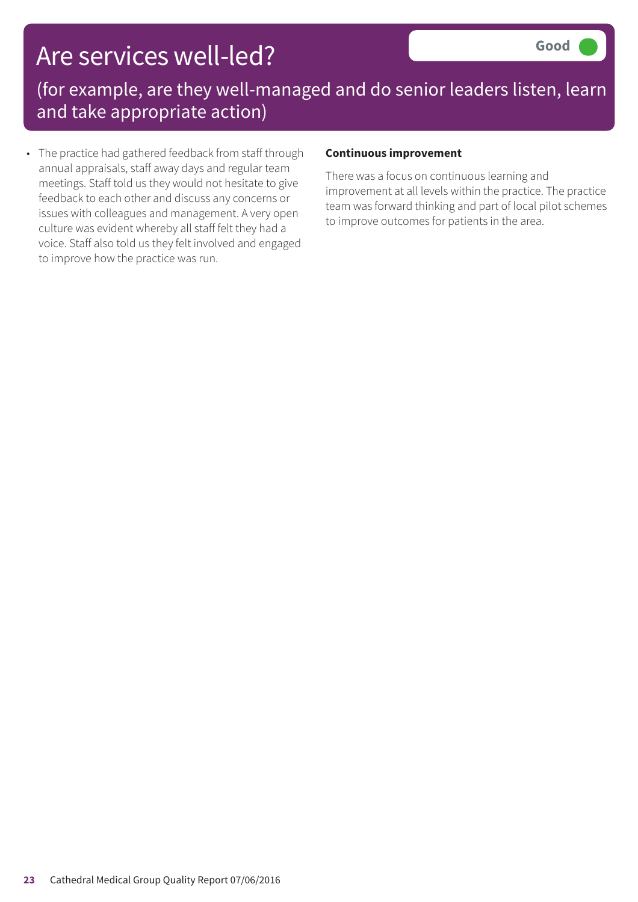# Are services well-led?

(for example, are they well-managed and do senior leaders listen, learn and take appropriate action)

• The practice had gathered feedback from staff through annual appraisals, staff away days and regular team meetings. Staff told us they would not hesitate to give feedback to each other and discuss any concerns or issues with colleagues and management. A very open culture was evident whereby all staff felt they had a voice. Staff also told us they felt involved and engaged to improve how the practice was run.

#### **Continuous improvement**

There was a focus on continuous learning and improvement at all levels within the practice. The practice team was forward thinking and part of local pilot schemes to improve outcomes for patients in the area.